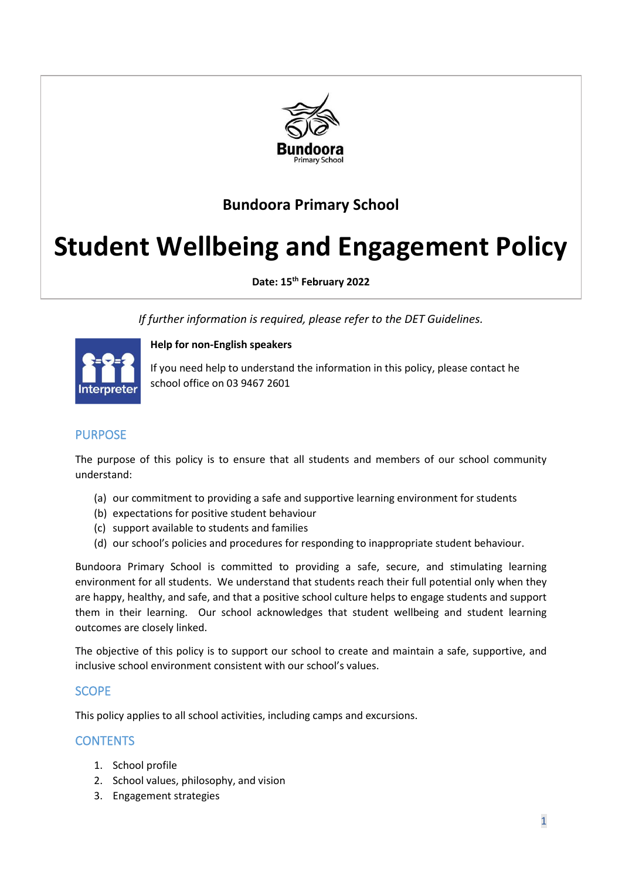

# **Bundoora Primary School**

# **Student Wellbeing and Engagement Policy**

**Date: 15th February 2022**

*If further information is required, please refer to the DET Guidelines.*



**Help for non-English speakers**

If you need help to understand the information in this policy, please contact he school office on 03 9467 2601

# PURPOSE

The purpose of this policy is to ensure that all students and members of our school community understand:

- (a) our commitment to providing a safe and supportive learning environment for students
- (b) expectations for positive student behaviour
- (c) support available to students and families
- (d) our school's policies and procedures for responding to inappropriate student behaviour.

Bundoora Primary School is committed to providing a safe, secure, and stimulating learning environment for all students. We understand that students reach their full potential only when they are happy, healthy, and safe, and that a positive school culture helps to engage students and support them in their learning. Our school acknowledges that student wellbeing and student learning outcomes are closely linked.

The objective of this policy is to support our school to create and maintain a safe, supportive, and inclusive school environment consistent with our school's values.

# **SCOPE**

This policy applies to all school activities, including camps and excursions.

# **CONTENTS**

- 1. School profile
- 2. School values, philosophy, and vision
- 3. Engagement strategies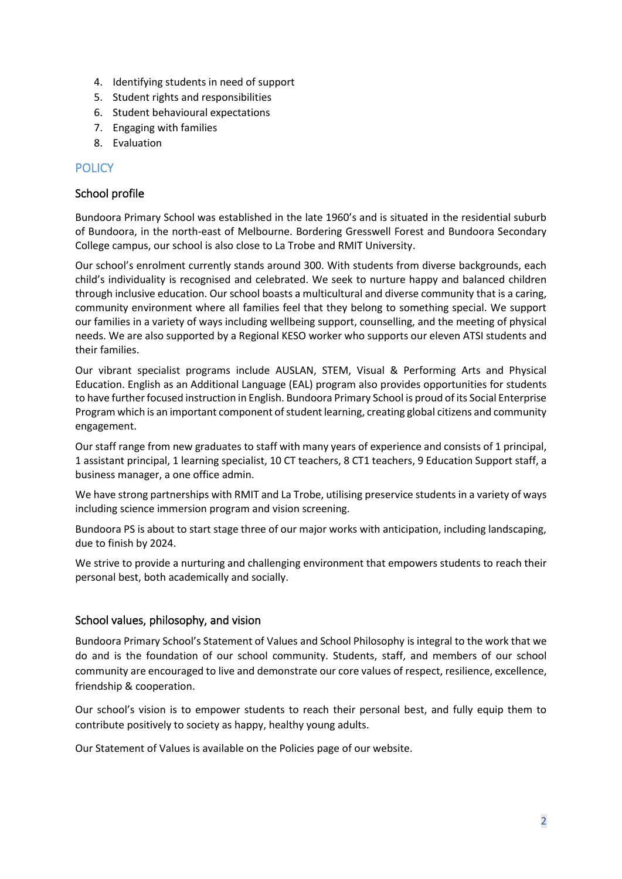- 4. Identifying students in need of support
- 5. Student rights and responsibilities
- 6. Student behavioural expectations
- 7. Engaging with families
- 8. Evaluation

# **POLICY**

#### School profile

Bundoora Primary School was established in the late 1960's and is situated in the residential suburb of Bundoora, in the north-east of Melbourne. Bordering Gresswell Forest and Bundoora Secondary College campus, our school is also close to La Trobe and RMIT University.

Our school's enrolment currently stands around 300. With students from diverse backgrounds, each child's individuality is recognised and celebrated. We seek to nurture happy and balanced children through inclusive education. Our school boasts a multicultural and diverse community that is a caring, community environment where all families feel that they belong to something special. We support our families in a variety of ways including wellbeing support, counselling, and the meeting of physical needs. We are also supported by a Regional KESO worker who supports our eleven ATSI students and their families.

Our vibrant specialist programs include AUSLAN, STEM, Visual & Performing Arts and Physical Education. English as an Additional Language (EAL) program also provides opportunities for students to have further focused instruction in English. Bundoora Primary School is proud of its Social Enterprise Program which is an important component of student learning, creating global citizens and community engagement.

Our staff range from new graduates to staff with many years of experience and consists of 1 principal, 1 assistant principal, 1 learning specialist, 10 CT teachers, 8 CT1 teachers, 9 Education Support staff, a business manager, a one office admin.

We have strong partnerships with RMIT and La Trobe, utilising preservice students in a variety of ways including science immersion program and vision screening.

Bundoora PS is about to start stage three of our major works with anticipation, including landscaping, due to finish by 2024.

We strive to provide a nurturing and challenging environment that empowers students to reach their personal best, both academically and socially.

#### School values, philosophy, and vision

Bundoora Primary School's Statement of Values and School Philosophy is integral to the work that we do and is the foundation of our school community. Students, staff, and members of our school community are encouraged to live and demonstrate our core values of respect, resilience, excellence, friendship & cooperation.

Our school's vision is to empower students to reach their personal best, and fully equip them to contribute positively to society as happy, healthy young adults.

Our Statement of Values is available on the Policies page of our website.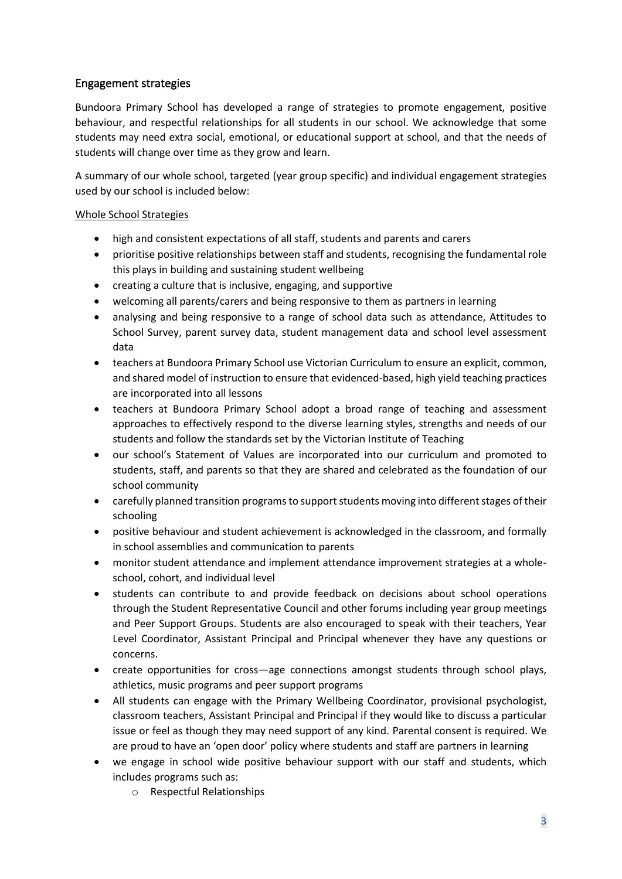# Engagement strategies

Bundoora Primary School has developed a range of strategies to promote engagement, positive behaviour, and respectful relationships for all students in our school. We acknowledge that some students may need extra social, emotional, or educational support at school, and that the needs of students will change over time as they grow and learn.

A summary of our whole school, targeted (year group specific) and individual engagement strategies used by our school is included below:

#### Whole School Strategies

- high and consistent expectations of all staff, students and parents and carers
- prioritise positive relationships between staff and students, recognising the fundamental role this plays in building and sustaining student wellbeing
- creating a culture that is inclusive, engaging, and supportive
- welcoming all parents/carers and being responsive to them as partners in learning
- analysing and being responsive to a range of school data such as attendance, Attitudes to School Survey, parent survey data, student management data and school level assessment data
- teachers at Bundoora Primary School use Victorian Curriculum to ensure an explicit, common, and shared model of instruction to ensure that evidenced-based, high yield teaching practices are incorporated into all lessons
- teachers at Bundoora Primary School adopt a broad range of teaching and assessment approaches to effectively respond to the diverse learning styles, strengths and needs of our students and follow the standards set by the Victorian Institute of Teaching
- our school's Statement of Values are incorporated into our curriculum and promoted to students, staff, and parents so that they are shared and celebrated as the foundation of our school community
- carefully planned transition programs to support students moving into different stages of their schooling
- positive behaviour and student achievement is acknowledged in the classroom, and formally in school assemblies and communication to parents
- monitor student attendance and implement attendance improvement strategies at a wholeschool, cohort, and individual level
- students can contribute to and provide feedback on decisions about school operations through the Student Representative Council and other forums including year group meetings and Peer Support Groups. Students are also encouraged to speak with their teachers, Year Level Coordinator, Assistant Principal and Principal whenever they have any questions or concerns.
- create opportunities for cross—age connections amongst students through school plays, athletics, music programs and peer support programs
- All students can engage with the Primary Wellbeing Coordinator, provisional psychologist, classroom teachers, Assistant Principal and Principal if they would like to discuss a particular issue or feel as though they may need support of any kind. Parental consent is required. We are proud to have an 'open door' policy where students and staff are partners in learning
- we engage in school wide positive behaviour support with our staff and students, which includes programs such as:
	- o Respectful Relationships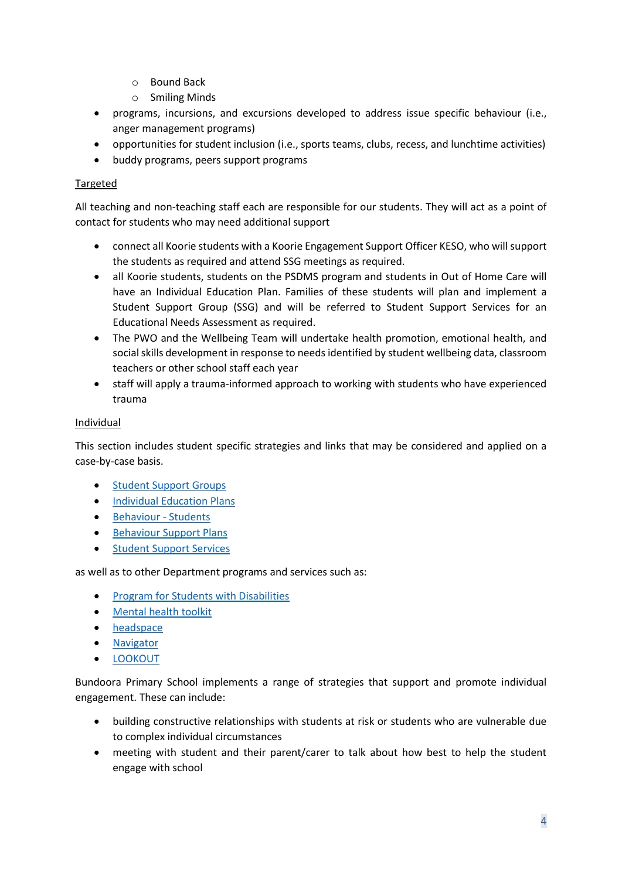- o Bound Back
- o Smiling Minds
- programs, incursions, and excursions developed to address issue specific behaviour (i.e., anger management programs)
- opportunities for student inclusion (i.e., sports teams, clubs, recess, and lunchtime activities)
- buddy programs, peers support programs

#### Targeted

All teaching and non-teaching staff each are responsible for our students. They will act as a point of contact for students who may need additional support

- connect all Koorie students with a Koorie Engagement Support Officer KESO, who will support the students as required and attend SSG meetings as required.
- all Koorie students, students on the PSDMS program and students in Out of Home Care will have an Individual Education Plan. Families of these students will plan and implement a Student Support Group (SSG) and will be referred to Student Support Services for an Educational Needs Assessment as required.
- The PWO and the Wellbeing Team will undertake health promotion, emotional health, and social skills development in response to needs identified by student wellbeing data, classroom teachers or other school staff each year
- staff will apply a trauma-informed approach to working with students who have experienced trauma

#### **Individual**

This section includes student specific strategies and links that may be considered and applied on a case-by-case basis.

- **[Student Support Groups](https://www2.education.vic.gov.au/pal/student-support-groups/policy)**
- [Individual Education Plans](https://www2.education.vic.gov.au/pal/individual-education-plans-ieps/policy)
- [Behaviour -](https://www2.education.vic.gov.au/pal/behaviour-students/policy) Students
- [Behaviour Support Plans](https://www2.education.vic.gov.au/pal/behaviour-students/guidance/6-behaviour-support-plans)
- [Student Support Services](https://www2.education.vic.gov.au/pal/student-support-services/policy)

as well as to other Department programs and services such as:

- [Program for Students with Disabilities](https://www.education.vic.gov.au/school/teachers/learningneeds/Pages/psd.aspx)
- [Mental health toolkit](https://www.education.vic.gov.au/school/teachers/health/mentalhealth/Pages/mentalhealthtoolkit.aspx)
- [headspace](https://www.education.vic.gov.au/school/teachers/health/mentalhealth/Pages/headspace-counselling-secondary.aspx)
- [Navigator](https://www.education.vic.gov.au/school/teachers/behaviour/engagement/Pages/navigator.aspx)
- [LOOKOUT](https://www.education.vic.gov.au/about/programs/Pages/lookout.aspx)

Bundoora Primary School implements a range of strategies that support and promote individual engagement. These can include:

- building constructive relationships with students at risk or students who are vulnerable due to complex individual circumstances
- meeting with student and their parent/carer to talk about how best to help the student engage with school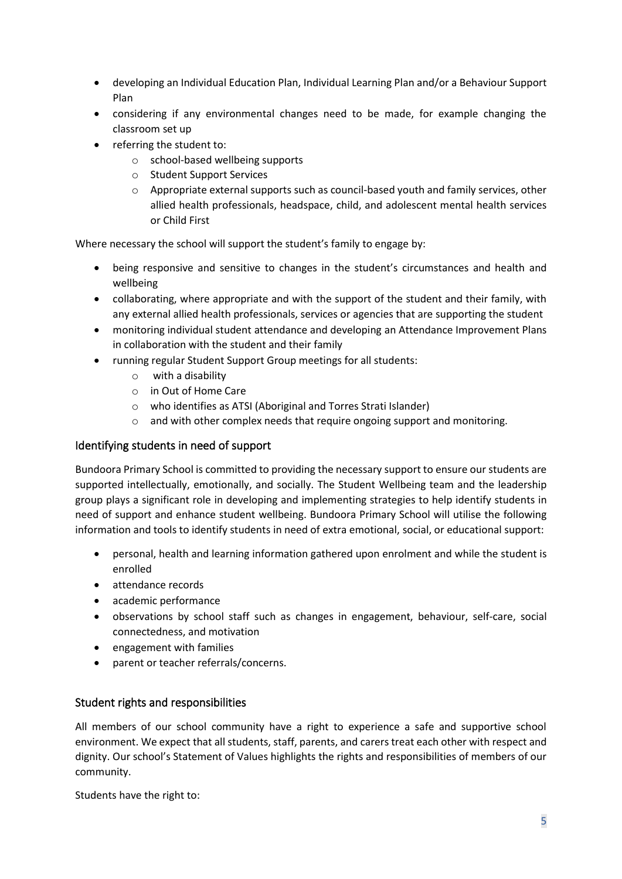- developing an Individual Education Plan, Individual Learning Plan and/or a Behaviour Support Plan
- considering if any environmental changes need to be made, for example changing the classroom set up
- referring the student to:
	- o school-based wellbeing supports
	- o Student Support Services
	- $\circ$  Appropriate external supports such as council-based youth and family services, other allied health professionals, headspace, child, and adolescent mental health services or Child First

Where necessary the school will support the student's family to engage by:

- being responsive and sensitive to changes in the student's circumstances and health and wellbeing
- collaborating, where appropriate and with the support of the student and their family, with any external allied health professionals, services or agencies that are supporting the student
- monitoring individual student attendance and developing an Attendance Improvement Plans in collaboration with the student and their family
- running regular Student Support Group meetings for all students:
	- o with a disability
	- o in Out of Home Care
	- o who identifies as ATSI (Aboriginal and Torres Strati Islander)
	- $\circ$  and with other complex needs that require ongoing support and monitoring.

### Identifying students in need of support

Bundoora Primary School is committed to providing the necessary support to ensure our students are supported intellectually, emotionally, and socially. The Student Wellbeing team and the leadership group plays a significant role in developing and implementing strategies to help identify students in need of support and enhance student wellbeing. Bundoora Primary School will utilise the following information and tools to identify students in need of extra emotional, social, or educational support:

- personal, health and learning information gathered upon enrolment and while the student is enrolled
- attendance records
- academic performance
- observations by school staff such as changes in engagement, behaviour, self-care, social connectedness, and motivation
- engagement with families
- parent or teacher referrals/concerns.

# Student rights and responsibilities

All members of our school community have a right to experience a safe and supportive school environment. We expect that all students, staff, parents, and carers treat each other with respect and dignity. Our school's Statement of Values highlights the rights and responsibilities of members of our community.

Students have the right to: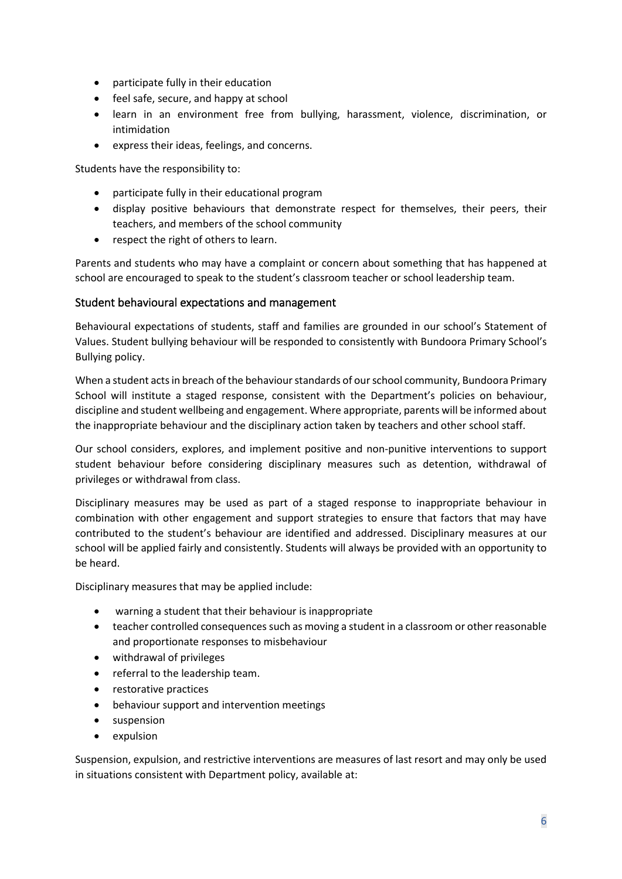- participate fully in their education
- feel safe, secure, and happy at school
- learn in an environment free from bullying, harassment, violence, discrimination, or intimidation
- express their ideas, feelings, and concerns.

Students have the responsibility to:

- participate fully in their educational program
- display positive behaviours that demonstrate respect for themselves, their peers, their teachers, and members of the school community
- respect the right of others to learn.

Parents and students who may have a complaint or concern about something that has happened at school are encouraged to speak to the student's classroom teacher or school leadership team.

#### Student behavioural expectations and management

Behavioural expectations of students, staff and families are grounded in our school's Statement of Values. Student bullying behaviour will be responded to consistently with Bundoora Primary School's Bullying policy.

When a student acts in breach of the behaviour standards of our school community, Bundoora Primary School will institute a staged response, consistent with the Department's policies on behaviour, discipline and student wellbeing and engagement. Where appropriate, parents will be informed about the inappropriate behaviour and the disciplinary action taken by teachers and other school staff.

Our school considers, explores, and implement positive and non-punitive interventions to support student behaviour before considering disciplinary measures such as detention, withdrawal of privileges or withdrawal from class.

Disciplinary measures may be used as part of a staged response to inappropriate behaviour in combination with other engagement and support strategies to ensure that factors that may have contributed to the student's behaviour are identified and addressed. Disciplinary measures at our school will be applied fairly and consistently. Students will always be provided with an opportunity to be heard.

Disciplinary measures that may be applied include:

- warning a student that their behaviour is inappropriate
- teacher controlled consequences such as moving a student in a classroom or other reasonable and proportionate responses to misbehaviour
- withdrawal of privileges
- referral to the leadership team.
- restorative practices
- behaviour support and intervention meetings
- suspension
- expulsion

Suspension, expulsion, and restrictive interventions are measures of last resort and may only be used in situations consistent with Department policy, available at: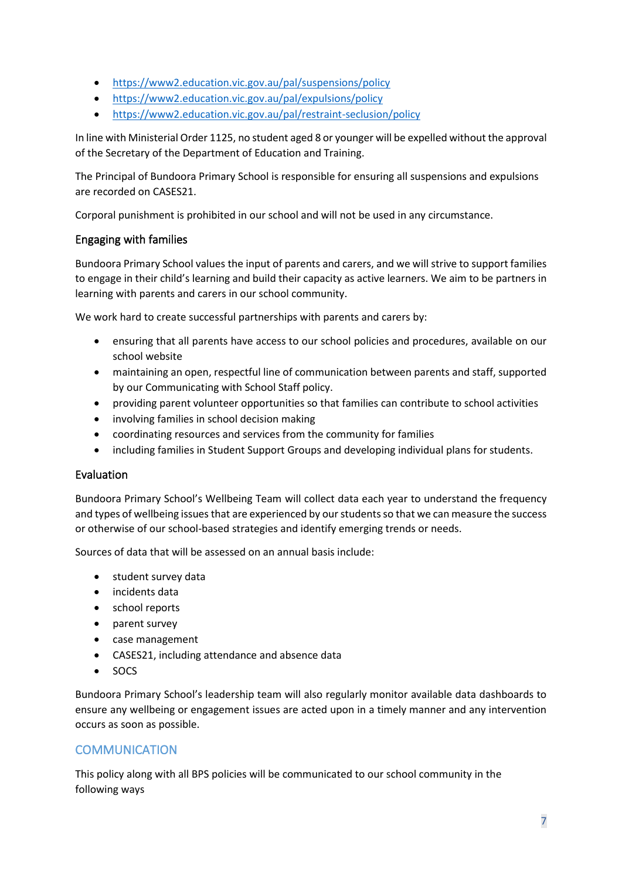- <https://www2.education.vic.gov.au/pal/suspensions/policy>
- <https://www2.education.vic.gov.au/pal/expulsions/policy>
- <https://www2.education.vic.gov.au/pal/restraint-seclusion/policy>

In line with Ministerial Order 1125, no student aged 8 or younger will be expelled without the approval of the Secretary of the Department of Education and Training.

The Principal of Bundoora Primary School is responsible for ensuring all suspensions and expulsions are recorded on CASES21.

Corporal punishment is prohibited in our school and will not be used in any circumstance.

#### Engaging with families

Bundoora Primary School values the input of parents and carers, and we will strive to support families to engage in their child's learning and build their capacity as active learners. We aim to be partners in learning with parents and carers in our school community.

We work hard to create successful partnerships with parents and carers by:

- ensuring that all parents have access to our school policies and procedures, available on our school website
- maintaining an open, respectful line of communication between parents and staff, supported by our Communicating with School Staff policy.
- providing parent volunteer opportunities so that families can contribute to school activities
- involving families in school decision making
- coordinating resources and services from the community for families
- including families in Student Support Groups and developing individual plans for students.

#### Evaluation

Bundoora Primary School's Wellbeing Team will collect data each year to understand the frequency and types of wellbeing issues that are experienced by our students so that we can measure the success or otherwise of our school-based strategies and identify emerging trends or needs.

Sources of data that will be assessed on an annual basis include:

- student survey data
- incidents data
- school reports
- parent survey
- case management
- CASES21, including attendance and absence data
- SOCS

Bundoora Primary School's leadership team will also regularly monitor available data dashboards to ensure any wellbeing or engagement issues are acted upon in a timely manner and any intervention occurs as soon as possible.

# **COMMUNICATION**

This policy along with all BPS policies will be communicated to our school community in the following ways